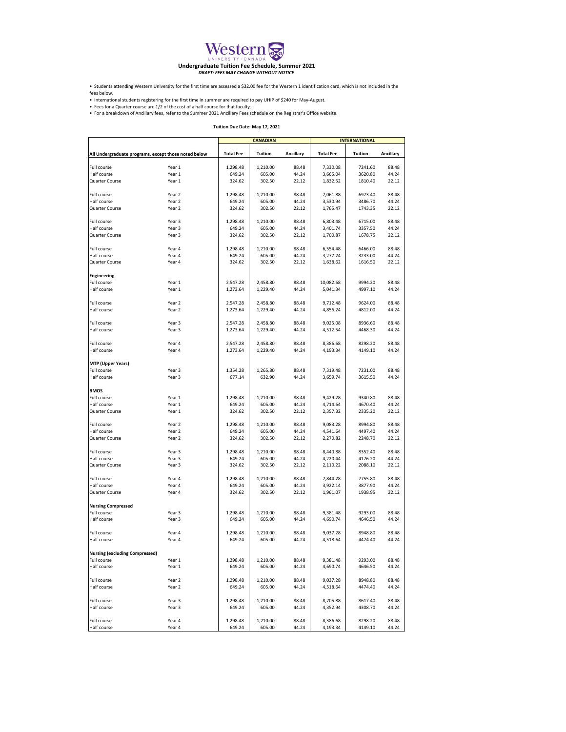|                                                      |                  | <b>CANADIAN</b>      |                      |                  | <b>INTERNATIONAL</b> |                    |                  |
|------------------------------------------------------|------------------|----------------------|----------------------|------------------|----------------------|--------------------|------------------|
| All Undergraduate programs, except those noted below |                  | <b>Total Fee</b>     | <b>Tuition</b>       | <b>Ancillary</b> | <b>Total Fee</b>     | <b>Tuition</b>     | <b>Ancillary</b> |
| Full course                                          | Year 1           | 1,298.48             | 1,210.00             | 88.48            | 7,330.08             | 7241.60            | 88.48            |
| Half course                                          | Year 1           | 649.24               | 605.00               | 44.24            | 3,665.04             | 3620.80            | 44.24            |
| <b>Quarter Course</b>                                | Year 1           | 324.62               | 302.50               | 22.12            | 1,832.52             | 1810.40            | 22.12            |
| <b>Full course</b>                                   | Year 2           | 1,298.48             | 1,210.00             | 88.48            | 7,061.88             | 6973.40            | 88.48            |
| Half course                                          | Year 2           | 649.24               | 605.00               | 44.24            | 3,530.94             | 3486.70            | 44.24            |
| <b>Quarter Course</b>                                | Year 2           | 324.62               | 302.50               | 22.12            | 1,765.47             | 1743.35            | 22.12            |
| <b>Full course</b>                                   | Year 3           | 1,298.48             | 1,210.00             | 88.48            | 6,803.48             | 6715.00            | 88.48            |
| Half course                                          | Year 3           | 649.24               | 605.00               | 44.24            | 3,401.74             | 3357.50            | 44.24            |
| <b>Quarter Course</b>                                | Year 3           | 324.62               | 302.50               | 22.12            | 1,700.87             | 1678.75            | 22.12            |
| Full course                                          | Year 4           | 1,298.48             | 1,210.00             | 88.48            | 6,554.48             | 6466.00            | 88.48            |
| Half course                                          | Year 4           | 649.24               | 605.00               | 44.24            | 3,277.24             | 3233.00            | 44.24            |
| <b>Quarter Course</b>                                | Year 4           | 324.62               | 302.50               | 22.12            | 1,638.62             | 1616.50            | 22.12            |
| <b>Engineering</b>                                   |                  |                      |                      |                  |                      |                    |                  |
| Full course                                          | Year 1           | 2,547.28             | 2,458.80             | 88.48            | 10,082.68            | 9994.20            | 88.48            |
| Half course                                          | Year 1           | 1,273.64             | 1,229.40             | 44.24            | 5,041.34             | 4997.10            | 44.24            |
| <b>Full course</b>                                   | Year 2           | 2,547.28             | 2,458.80             | 88.48            | 9,712.48             | 9624.00            | 88.48            |
| Half course                                          | Year 2           | 1,273.64             | 1,229.40             | 44.24            | 4,856.24             | 4812.00            | 44.24            |
|                                                      |                  |                      |                      |                  |                      |                    |                  |
| Full course<br>Half course                           | Year 3<br>Year 3 | 2,547.28<br>1,273.64 | 2,458.80<br>1,229.40 | 88.48<br>44.24   | 9,025.08<br>4,512.54 | 8936.60<br>4468.30 | 88.48<br>44.24   |
|                                                      |                  |                      |                      |                  |                      |                    |                  |
| <b>Full course</b>                                   | Year 4           | 2,547.28             | 2,458.80             | 88.48            | 8,386.68             | 8298.20            | 88.48            |
| Half course                                          | Year 4           | 1,273.64             | 1,229.40             | 44.24            | 4,193.34             | 4149.10            | 44.24            |
| <b>MTP (Upper Years)</b>                             |                  |                      |                      |                  |                      |                    |                  |
| Full course                                          | Year 3           | 1,354.28             | 1,265.80             | 88.48            | 7,319.48             | 7231.00            | 88.48            |
| Half course                                          | Year 3           | 677.14               | 632.90               | 44.24            | 3,659.74             | 3615.50            | 44.24            |
| <b>BMOS</b>                                          |                  |                      |                      |                  |                      |                    |                  |
| Full course                                          | Year 1           | 1,298.48             | 1,210.00             | 88.48            | 9,429.28             | 9340.80            | 88.48            |
| Half course<br><b>Quarter Course</b>                 | Year 1<br>Year 1 | 649.24<br>324.62     | 605.00<br>302.50     | 44.24<br>22.12   | 4,714.64<br>2,357.32 | 4670.40<br>2335.20 | 44.24<br>22.12   |
|                                                      |                  |                      |                      |                  |                      |                    |                  |
| <b>Full course</b>                                   | Year 2           | 1,298.48             | 1,210.00             | 88.48            | 9,083.28             | 8994.80            | 88.48            |
| Half course                                          | Year 2           | 649.24               | 605.00               | 44.24            | 4,541.64             | 4497.40            | 44.24            |
| <b>Quarter Course</b>                                | Year 2           | 324.62               | 302.50               | 22.12            | 2,270.82             | 2248.70            | 22.12            |
| Full course                                          | Year 3           | 1,298.48             | 1,210.00             | 88.48            | 8,440.88             | 8352.40            | 88.48            |
| Half course                                          | Year 3           | 649.24               | 605.00               | 44.24            | 4,220.44             | 4176.20            | 44.24            |
| <b>Quarter Course</b>                                | Year 3           | 324.62               | 302.50               | 22.12            | 2,110.22             | 2088.10            | 22.12            |
| <b>Full course</b>                                   | Year 4           | 1,298.48             | 1,210.00             | 88.48            | 7,844.28             | 7755.80            | 88.48            |
| Half course                                          | Year 4           | 649.24               | 605.00               | 44.24            | 3,922.14             | 3877.90            | 44.24            |
| <b>Quarter Course</b>                                | Year 4           | 324.62               | 302.50               | 22.12            | 1,961.07             | 1938.95            | 22.12            |
| <b>Nursing Compressed</b>                            |                  |                      |                      |                  |                      |                    |                  |
| Full course                                          | Year 3           | 1,298.48             | 1,210.00             | 88.48            | 9,381.48             | 9293.00            | 88.48            |
| Half course                                          | Year 3           | 649.24               | 605.00               | 44.24            | 4,690.74             | 4646.50            | 44.24            |
| <b>Full course</b>                                   | Year 4           | 1,298.48             | 1,210.00             | 88.48            | 9,037.28             | 8948.80            | 88.48            |
| Half course                                          | Year 4           | 649.24               | 605.00               | 44.24            | 4,518.64             | 4474.40            | 44.24            |
| <b>Nursing (excluding Compressed)</b>                |                  |                      |                      |                  |                      |                    |                  |
| Full course                                          | Year 1           | 1,298.48             | 1,210.00             | 88.48            | 9,381.48             | 9293.00            | 88.48            |
| Half course                                          | Year 1           | 649.24               | 605.00               | 44.24            | 4,690.74             | 4646.50            | 44.24            |
| Full course                                          | Year 2           | 1,298.48             | 1,210.00             | 88.48            | 9,037.28             | 8948.80            | 88.48            |
| Half course                                          | Year 2           | 649.24               | 605.00               | 44.24            | 4,518.64             | 4474.40            | 44.24            |
| <b>Full course</b>                                   | Year 3           | 1,298.48             | 1,210.00             | 88.48            | 8,705.88             | 8617.40            | 88.48            |
| Half course                                          | Year 3           | 649.24               | 605.00               | 44.24            | 4,352.94             | 4308.70            | 44.24            |
|                                                      |                  |                      |                      |                  |                      |                    |                  |
| Full course                                          | Year 4           | 1,298.48             | 1,210.00             | 88.48            | 8,386.68             | 8298.20            | 88.48            |
| Half course                                          | Year 4           | 649.24               | 605.00               | 44.24            | 4,193.34             | 4149.10            | 44.24            |

## **Tuition Due Date: May 17, 2021**

• For a breakdown of Ancillary fees, refer to the Summer 2021 Ancillary Fees schedule on the Registrar's Office website.

• Fees for a Quarter course are 1/2 of the cost of a half course for that faculty.

• International students registering for the first time in summer are required to pay UHIP of \$240 for May-August.

• Students attending Western University for the first time are assessed a \$32.00 fee for the Western 1 identification card, which is not included in the

fees below.